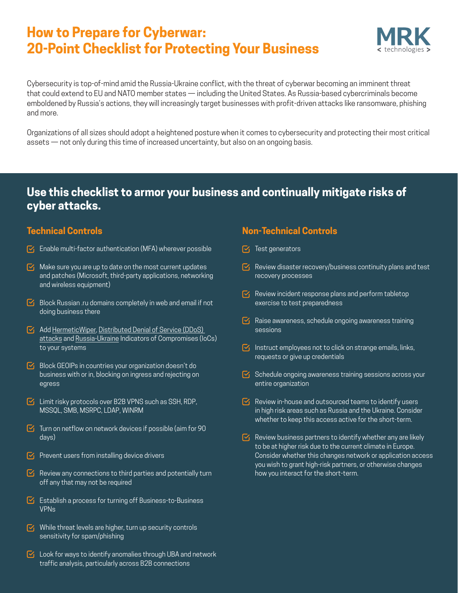# **How to Prepare for Cyberwar: 20-Point Checklist for Protecting Your Business**



Cybersecurity is top-of-mind amid the Russia-Ukraine conflict, with the threat of cyberwar becoming an imminent threat that could extend to EU and NATO member states — including the United States. As Russia-based cybercriminals become emboldened by Russia's actions, they will increasingly target businesses with profit-driven attacks like ransomware, phishing and more.

Organizations of all sizes should adopt a heightened posture when it comes to cybersecurity and protecting their most critical assets — not only during this time of increased uncertainty, but also on an ongoing basis.

### **Use this checklist to armor your business and continually mitigate risks of cyber attacks.**

### **Technical Controls**

- $\triangledown$  Enable multi-factor authentication (MFA) wherever possible
- $\triangleright$  Make sure you are up to date on the most current updates and patches (Microsoft, third-party applications, networking and wireless equipment)
- $\triangleright$  Block Russian .ru domains completely in web and email if not doing business there
- $\triangleright$  Add [HermeticWiper](https://otx.alienvault.com/pulse/6217472bf47df43791ca9125), Distributed Denial of Service (DDoS) [attacks](https://otx.alienvault.com/pulse/6218bdb0e0e53a935627f6da) and [Russia-Ukraine](https://github.com/Orange-Cyberdefense/russia-ukraine_IOCs/blob/main/OCD-Datalake-russia-ukraine_IOCs-ALL.csv) Indicators of Compromises (IoCs) to your systems
- $\triangleright$  Block GEOIPs in countries your organization doesn't do business with or in, blocking on ingress and rejecting on egress
- $\triangleright$  Limit risky protocols over B2B VPNS such as SSH, RDP, MSSQL, SMB, MSRPC, LDAP, WINRM
- $\triangleright$  Turn on netflow on network devices if possible (aim for 90 days)
- $\triangleright$  Prevent users from installing device drivers
- $\triangleright$  Review any connections to third parties and potentially turn off any that may not be required
- $\triangleright$  Establish a process for turning off Business-to-Business VPNs
- $\nabla_1$  While threat levels are higher, turn up security controls sensitivity for spam/phishing
- $\triangledown$  Look for ways to identify anomalies through UBA and network traffic analysis, particularly across B2B connections

### **Non-Technical Controls**

- $\triangleright$  Test generators
- $\triangledown$  Review disaster recovery/business continuity plans and test recovery processes
- $\triangledown$  Review incident response plans and perform tabletop exercise to test preparedness
- $\triangleright$  Raise awareness, schedule ongoing awareness training sessions
- $\triangleright$  Instruct employees not to click on strange emails, links, requests or give up credentials
- $\triangleright$  Schedule ongoing awareness training sessions across your entire organization
- $\triangleright$  Review in-house and outsourced teams to identify users in high risk areas such as Russia and the Ukraine. Consider whether to keep this access active for the short-term.
- $\triangledown$  Review business partners to identify whether any are likely to be at higher risk due to the current climate in Europe. Consider whether this changes network or application access you wish to grant high-risk partners, or otherwise changes how you interact for the short-term.